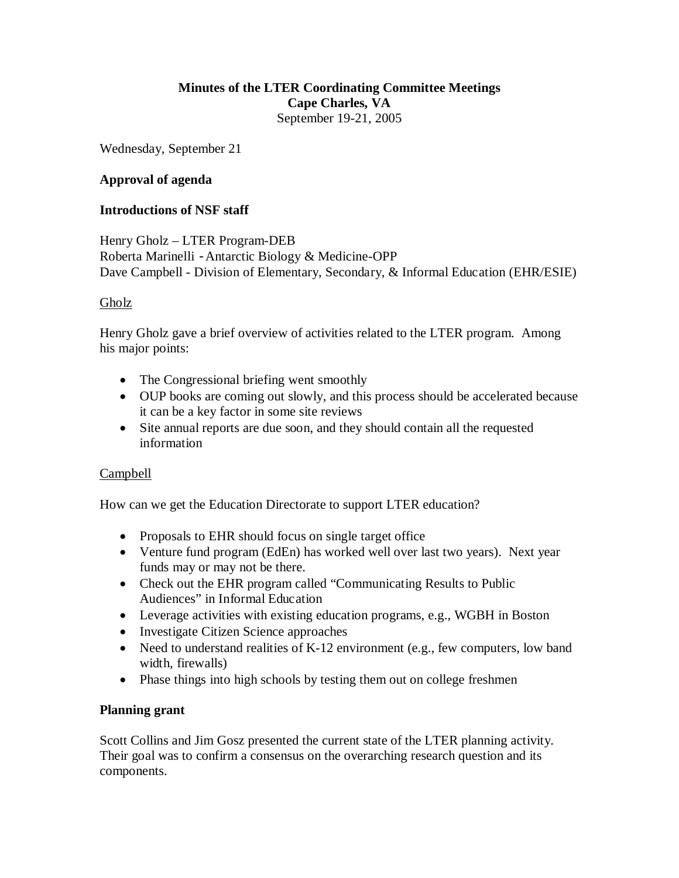# **Minutes of the LTER Coordinating Committee Meetings Cape Charles, VA** September 19-21, 2005

Wednesday, September 21

# **Approval of agenda**

## **Introductions of NSF staff**

Henry Gholz – LTER Program-DEB Roberta Marinelli -Antarctic Biology & Medicine-OPP Dave Campbell - Division of Elementary, Secondary, & Informal Education (EHR/ESIE)

# Gholz

Henry Gholz gave a brief overview of activities related to the LTER program. Among his major points:

- The Congressional briefing went smoothly
- OUP books are coming out slowly, and this process should be accelerated because it can be a key factor in some site reviews
- Site annual reports are due soon, and they should contain all the requested information

# Campbell

How can we get the Education Directorate to support LTER education?

- Proposals to EHR should focus on single target office
- Venture fund program (EdEn) has worked well over last two years). Next year funds may or may not be there.
- Check out the EHR program called "Communicating Results to Public Audiences" in Informal Education
- Leverage activities with existing education programs, e.g., WGBH in Boston
- Investigate Citizen Science approaches
- Need to understand realities of K-12 environment (e.g., few computers, low band width, firewalls)
- Phase things into high schools by testing them out on college freshmen

## **Planning grant**

Scott Collins and Jim Gosz presented the current state of the LTER planning activity. Their goal was to confirm a consensus on the overarching research question and its components.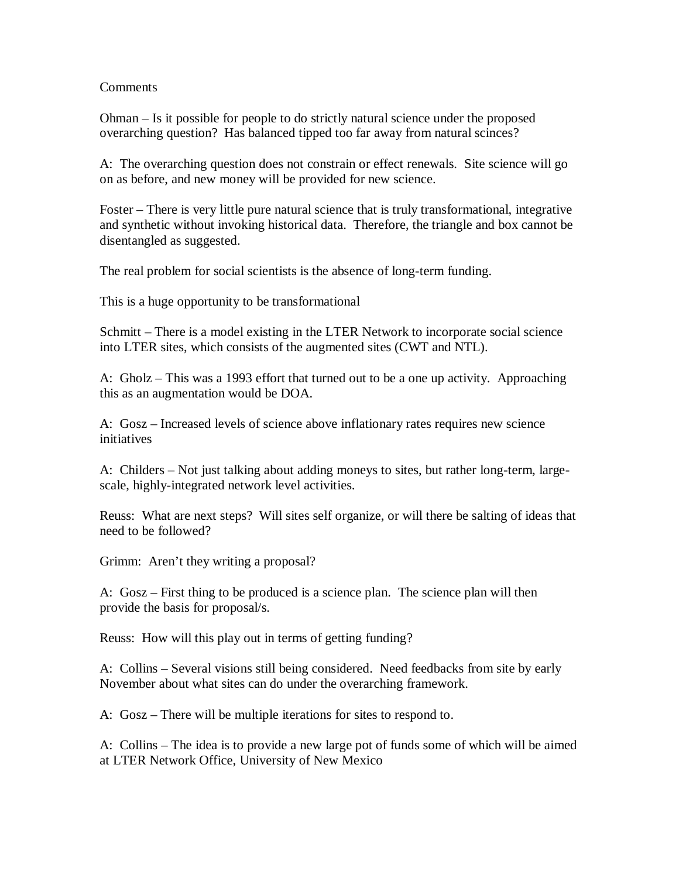#### Comments

Ohman – Is it possible for people to do strictly natural science under the proposed overarching question? Has balanced tipped too far away from natural scinces?

A: The overarching question does not constrain or effect renewals. Site science will go on as before, and new money will be provided for new science.

Foster – There is very little pure natural science that is truly transformational, integrative and synthetic without invoking historical data. Therefore, the triangle and box cannot be disentangled as suggested.

The real problem for social scientists is the absence of long-term funding.

This is a huge opportunity to be transformational

Schmitt – There is a model existing in the LTER Network to incorporate social science into LTER sites, which consists of the augmented sites (CWT and NTL).

A: Gholz – This was a 1993 effort that turned out to be a one up activity. Approaching this as an augmentation would be DOA.

A: Gosz – Increased levels of science above inflationary rates requires new science initiatives

A: Childers – Not just talking about adding moneys to sites, but rather long-term, largescale, highly-integrated network level activities.

Reuss: What are next steps? Will sites self organize, or will there be salting of ideas that need to be followed?

Grimm: Aren't they writing a proposal?

A: Gosz – First thing to be produced is a science plan. The science plan will then provide the basis for proposal/s.

Reuss: How will this play out in terms of getting funding?

A: Collins – Several visions still being considered. Need feedbacks from site by early November about what sites can do under the overarching framework.

A: Gosz – There will be multiple iterations for sites to respond to.

A: Collins – The idea is to provide a new large pot of funds some of which will be aimed at LTER Network Office, University of New Mexico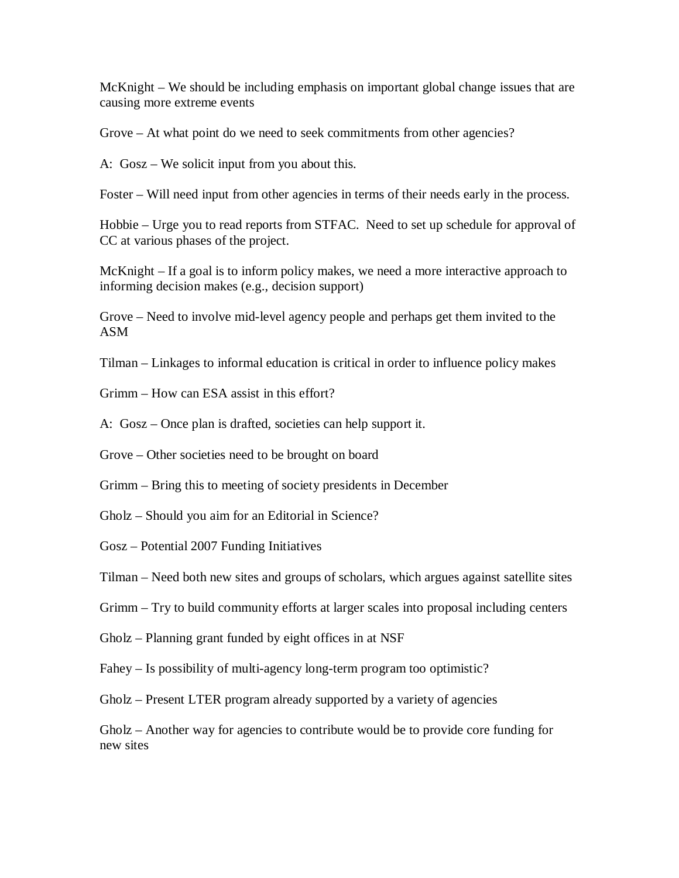McKnight – We should be including emphasis on important global change issues that are causing more extreme events

Grove – At what point do we need to seek commitments from other agencies?

A: Gosz – We solicit input from you about this.

Foster – Will need input from other agencies in terms of their needs early in the process.

Hobbie – Urge you to read reports from STFAC. Need to set up schedule for approval of CC at various phases of the project.

McKnight – If a goal is to inform policy makes, we need a more interactive approach to informing decision makes (e.g., decision support)

Grove – Need to involve mid-level agency people and perhaps get them invited to the ASM

Tilman – Linkages to informal education is critical in order to influence policy makes

Grimm – How can ESA assist in this effort?

A: Gosz – Once plan is drafted, societies can help support it.

Grove – Other societies need to be brought on board

Grimm – Bring this to meeting of society presidents in December

Gholz – Should you aim for an Editorial in Science?

Gosz – Potential 2007 Funding Initiatives

Tilman – Need both new sites and groups of scholars, which argues against satellite sites

Grimm – Try to build community efforts at larger scales into proposal including centers

Gholz – Planning grant funded by eight offices in at NSF

Fahey – Is possibility of multi-agency long-term program too optimistic?

Gholz – Present LTER program already supported by a variety of agencies

Gholz – Another way for agencies to contribute would be to provide core funding for new sites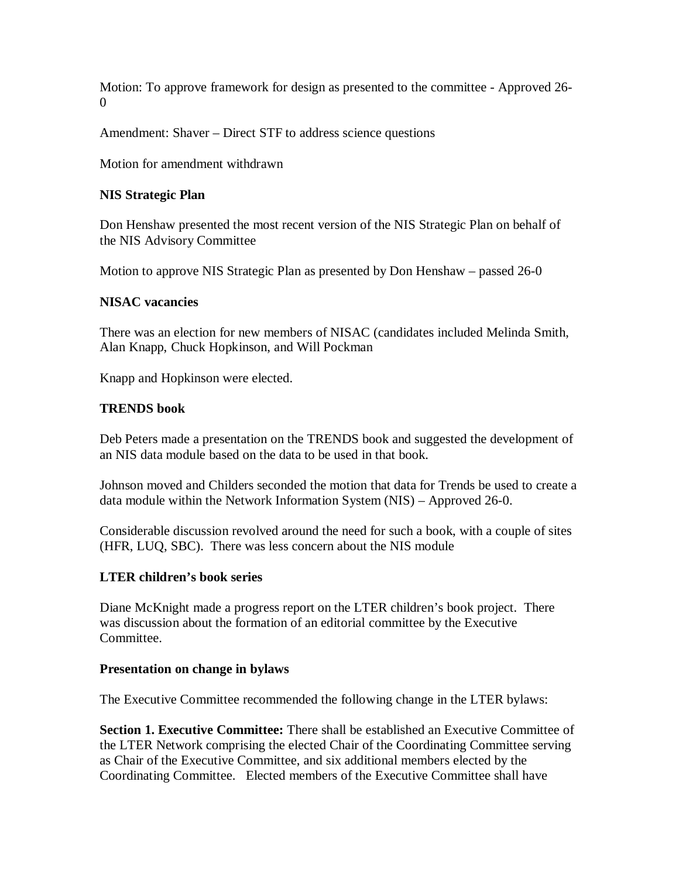Motion: To approve framework for design as presented to the committee - Approved 26- 0

Amendment: Shaver – Direct STF to address science questions

Motion for amendment withdrawn

## **NIS Strategic Plan**

Don Henshaw presented the most recent version of the NIS Strategic Plan on behalf of the NIS Advisory Committee

Motion to approve NIS Strategic Plan as presented by Don Henshaw – passed 26-0

#### **NISAC vacancies**

There was an election for new members of NISAC (candidates included Melinda Smith, Alan Knapp, Chuck Hopkinson, and Will Pockman

Knapp and Hopkinson were elected.

#### **TRENDS book**

Deb Peters made a presentation on the TRENDS book and suggested the development of an NIS data module based on the data to be used in that book.

Johnson moved and Childers seconded the motion that data for Trends be used to create a data module within the Network Information System (NIS) – Approved 26-0.

Considerable discussion revolved around the need for such a book, with a couple of sites (HFR, LUQ, SBC). There was less concern about the NIS module

## **LTER children's book series**

Diane McKnight made a progress report on the LTER children's book project. There was discussion about the formation of an editorial committee by the Executive Committee.

#### **Presentation on change in bylaws**

The Executive Committee recommended the following change in the LTER bylaws:

**Section 1. Executive Committee:** There shall be established an Executive Committee of the LTER Network comprising the elected Chair of the Coordinating Committee serving as Chair of the Executive Committee, and six additional members elected by the Coordinating Committee. Elected members of the Executive Committee shall have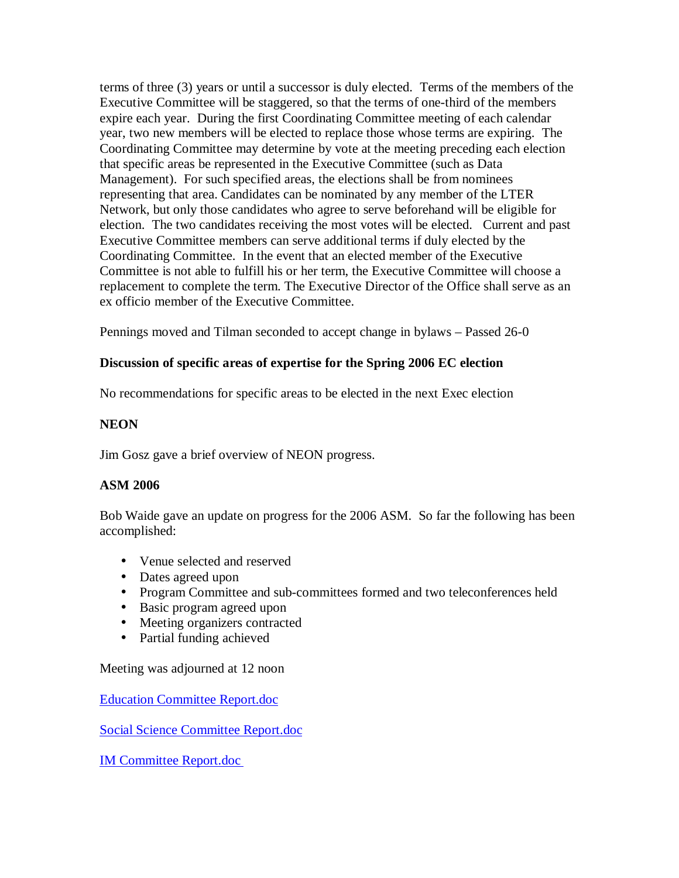terms of three (3) years or until a successor is duly elected. Terms of the members of the Executive Committee will be staggered, so that the terms of one-third of the members expire each year. During the first Coordinating Committee meeting of each calendar year, two new members will be elected to replace those whose terms are expiring. The Coordinating Committee may determine by vote at the meeting preceding each election that specific areas be represented in the Executive Committee (such as Data Management). For such specified areas, the elections shall be from nominees representing that area. Candidates can be nominated by any member of the LTER Network, but only those candidates who agree to serve beforehand will be eligible for election. The two candidates receiving the most votes will be elected. Current and past Executive Committee members can serve additional terms if duly elected by the Coordinating Committee. In the event that an elected member of the Executive Committee is not able to fulfill his or her term, the Executive Committee will choose a replacement to complete the term. The Executive Director of the Office shall serve as an ex officio member of the Executive Committee.

Pennings moved and Tilman seconded to accept change in bylaws – Passed 26-0

# **Discussion of specific areas of expertise for the Spring 2006 EC election**

No recommendations for specific areas to be elected in the next Exec election

# **NEON**

Jim Gosz gave a brief overview of NEON progress.

## **ASM 2006**

Bob Waide gave an update on progress for the 2006 ASM. So far the following has been accomplished:

- Venue selected and reserved
- Dates agreed upon
- Program Committee and sub-committees formed and two teleconferences held
- Basic program agreed upon
- Meeting organizers contracted
- Partial funding achieved

Meeting was adjourned at 12 noon

[Education Committee Report.doc](http://intranet.lternet.edu/archives/documents/reports/committee_reports/education/fall_05_edcommittee_report.doc)

[Social Science Committee Report.doc](http://intranet.lternet.edu/archives/documents/reports/committee_reports/social_science/fall_05_sscommittee_report.doc)

[IM Committee Report.doc](http://intranet.lternet.edu/archives/documents/reports/committee_reports/Data-management-committee/fall_05_IMcommittee_report.doc)